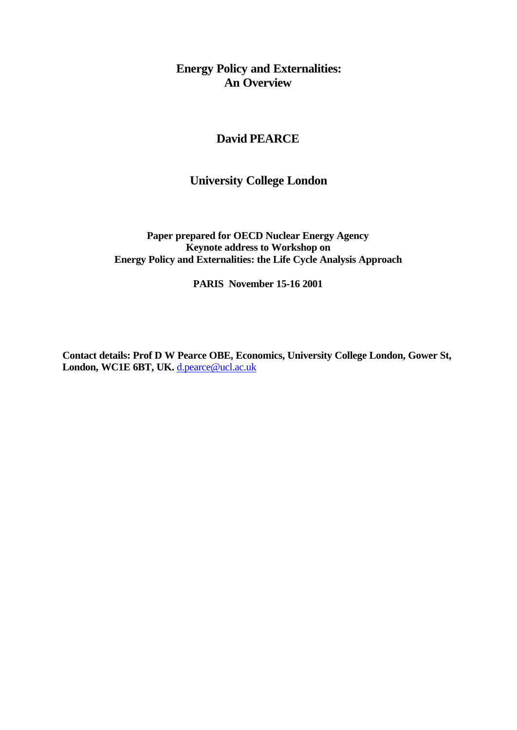# **Energy Policy and Externalities: An Overview**

# **David PEARCE**

# **University College London**

**Paper prepared for OECD Nuclear Energy Agency Keynote address to Workshop on Energy Policy and Externalities: the Life Cycle Analysis Approach**

**PARIS November 15-16 2001**

**Contact details: Prof D W Pearce OBE, Economics, University College London, Gower St,** London, WC1E 6BT, UK. d.pearce@ucl.ac.uk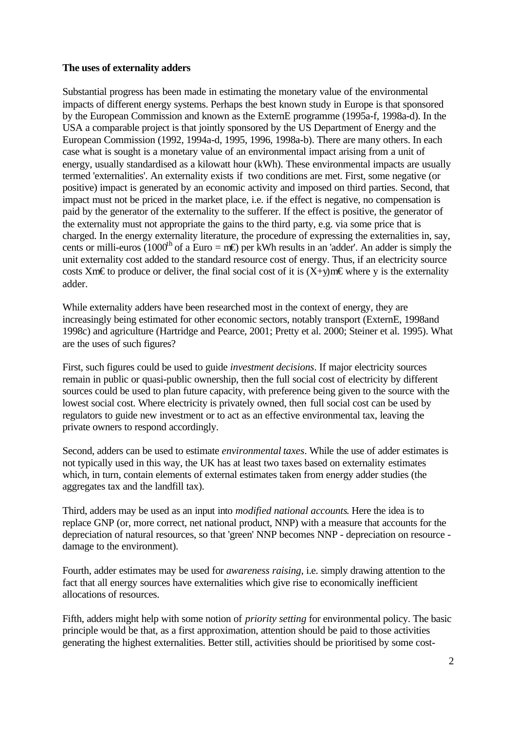## **The uses of externality adders**

Substantial progress has been made in estimating the monetary value of the environmental impacts of different energy systems. Perhaps the best known study in Europe is that sponsored by the European Commission and known as the ExternE programme (1995a-f, 1998a-d). In the USA a comparable project is that jointly sponsored by the US Department of Energy and the European Commission (1992, 1994a-d, 1995, 1996, 1998a-b). There are many others. In each case what is sought is a monetary value of an environmental impact arising from a unit of energy, usually standardised as a kilowatt hour (kWh). These environmental impacts are usually termed 'externalities'. An externality exists if two conditions are met. First, some negative (or positive) impact is generated by an economic activity and imposed on third parties. Second, that impact must not be priced in the market place, i.e. if the effect is negative, no compensation is paid by the generator of the externality to the sufferer. If the effect is positive, the generator of the externality must not appropriate the gains to the third party, e.g. via some price that is charged. In the energy externality literature, the procedure of expressing the externalities in, say, cents or milli-euros (1000<sup>th</sup> of a Euro = m**e**) per kWh results in an 'adder'. An adder is simply the unit externality cost added to the standard resource cost of energy. Thus, if an electricity source costs Xm€to produce or deliver, the final social cost of it is  $(X+y)$ m€ where y is the externality adder.

While externality adders have been researched most in the context of energy, they are increasingly being estimated for other economic sectors, notably transport (ExternE, 1998and 1998c) and agriculture (Hartridge and Pearce, 2001; Pretty et al. 2000; Steiner et al. 1995). What are the uses of such figures?

First, such figures could be used to guide *investment decisions*. If major electricity sources remain in public or quasi-public ownership, then the full social cost of electricity by different sources could be used to plan future capacity, with preference being given to the source with the lowest social cost. Where electricity is privately owned, then full social cost can be used by regulators to guide new investment or to act as an effective environmental tax, leaving the private owners to respond accordingly.

Second, adders can be used to estimate *environmental taxes*. While the use of adder estimates is not typically used in this way, the UK has at least two taxes based on externality estimates which, in turn, contain elements of external estimates taken from energy adder studies (the aggregates tax and the landfill tax).

Third, adders may be used as an input into *modified national accounts*. Here the idea is to replace GNP (or, more correct, net national product, NNP) with a measure that accounts for the depreciation of natural resources, so that 'green' NNP becomes NNP - depreciation on resource damage to the environment).

Fourth, adder estimates may be used for *awareness raising*, i.e. simply drawing attention to the fact that all energy sources have externalities which give rise to economically inefficient allocations of resources.

Fifth, adders might help with some notion of *priority setting* for environmental policy. The basic principle would be that, as a first approximation, attention should be paid to those activities generating the highest externalities. Better still, activities should be prioritised by some cost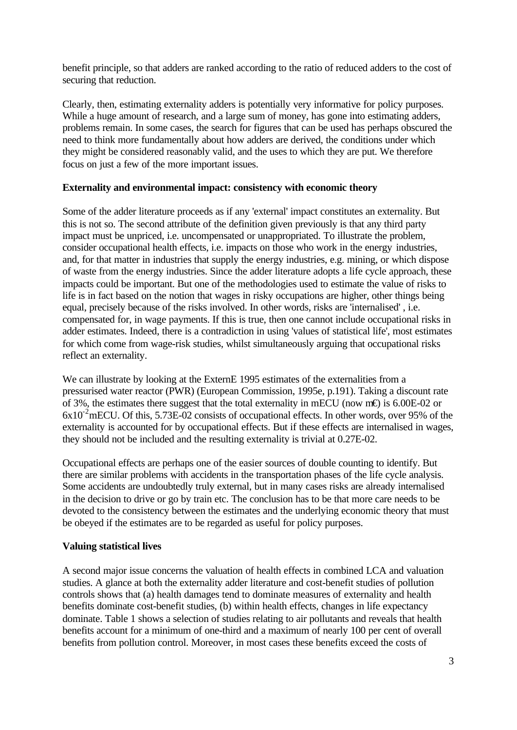benefit principle, so that adders are ranked according to the ratio of reduced adders to the cost of securing that reduction.

Clearly, then, estimating externality adders is potentially very informative for policy purposes. While a huge amount of research, and a large sum of money, has gone into estimating adders, problems remain. In some cases, the search for figures that can be used has perhaps obscured the need to think more fundamentally about how adders are derived, the conditions under which they might be considered reasonably valid, and the uses to which they are put. We therefore focus on just a few of the more important issues.

## **Externality and environmental impact: consistency with economic theory**

Some of the adder literature proceeds as if any 'external' impact constitutes an externality. But this is not so. The second attribute of the definition given previously is that any third party impact must be unpriced, i.e. uncompensated or unappropriated. To illustrate the problem, consider occupational health effects, i.e. impacts on those who work in the energy industries, and, for that matter in industries that supply the energy industries, e.g. mining, or which dispose of waste from the energy industries. Since the adder literature adopts a life cycle approach, these impacts could be important. But one of the methodologies used to estimate the value of risks to life is in fact based on the notion that wages in risky occupations are higher, other things being equal, precisely because of the risks involved. In other words, risks are 'internalised' , i.e. compensated for, in wage payments. If this is true, then one cannot include occupational risks in adder estimates. Indeed, there is a contradiction in using 'values of statistical life', most estimates for which come from wage-risk studies, whilst simultaneously arguing that occupational risks reflect an externality.

We can illustrate by looking at the ExternE 1995 estimates of the externalities from a pressurised water reactor (PWR) (European Commission, 1995e, p.191). Taking a discount rate of 3%, the estimates there suggest that the total externality in mECU (now m€) is 6.00E-02 or  $6x10^2$ mECU. Of this, 5.73E-02 consists of occupational effects. In other words, over 95% of the externality is accounted for by occupational effects. But if these effects are internalised in wages, they should not be included and the resulting externality is trivial at 0.27E-02.

Occupational effects are perhaps one of the easier sources of double counting to identify. But there are similar problems with accidents in the transportation phases of the life cycle analysis. Some accidents are undoubtedly truly external, but in many cases risks are already internalised in the decision to drive or go by train etc. The conclusion has to be that more care needs to be devoted to the consistency between the estimates and the underlying economic theory that must be obeyed if the estimates are to be regarded as useful for policy purposes.

# **Valuing statistical lives**

A second major issue concerns the valuation of health effects in combined LCA and valuation studies. A glance at both the externality adder literature and cost-benefit studies of pollution controls shows that (a) health damages tend to dominate measures of externality and health benefits dominate cost-benefit studies, (b) within health effects, changes in life expectancy dominate. Table 1 shows a selection of studies relating to air pollutants and reveals that health benefits account for a minimum of one-third and a maximum of nearly 100 per cent of overall benefits from pollution control. Moreover, in most cases these benefits exceed the costs of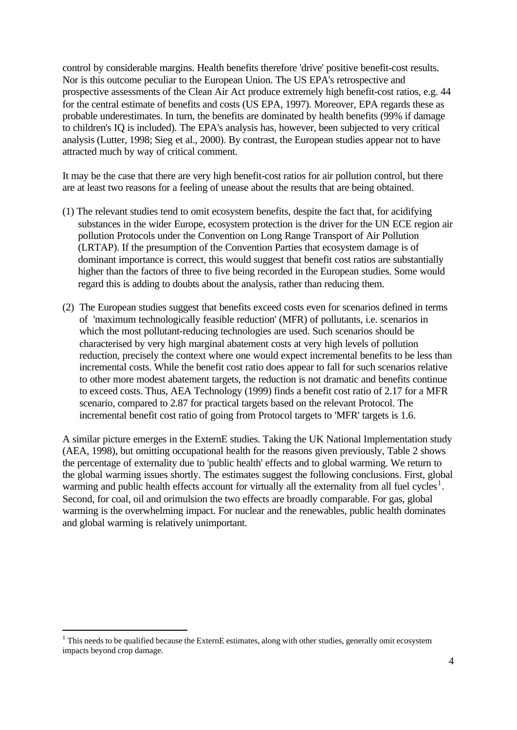control by considerable margins. Health benefits therefore 'drive' positive benefit-cost results. Nor is this outcome peculiar to the European Union. The US EPA's retrospective and prospective assessments of the Clean Air Act produce extremely high benefit-cost ratios, e.g. 44 for the central estimate of benefits and costs (US EPA, 1997). Moreover, EPA regards these as probable underestimates. In turn, the benefits are dominated by health benefits (99% if damage to children's IQ is included). The EPA's analysis has, however, been subjected to very critical analysis (Lutter, 1998; Sieg et al., 2000). By contrast, the European studies appear not to have attracted much by way of critical comment.

It may be the case that there are very high benefit-cost ratios for air pollution control, but there are at least two reasons for a feeling of unease about the results that are being obtained.

- (1) The relevant studies tend to omit ecosystem benefits, despite the fact that, for acidifying substances in the wider Europe, ecosystem protection is the driver for the UN ECE region air pollution Protocols under the Convention on Long Range Transport of Air Pollution (LRTAP). If the presumption of the Convention Parties that ecosystem damage is of dominant importance is correct, this would suggest that benefit cost ratios are substantially higher than the factors of three to five being recorded in the European studies. Some would regard this is adding to doubts about the analysis, rather than reducing them.
- (2) The European studies suggest that benefits exceed costs even for scenarios defined in terms of 'maximum technologically feasible reduction' (MFR) of pollutants, i.e. scenarios in which the most pollutant-reducing technologies are used. Such scenarios should be characterised by very high marginal abatement costs at very high levels of pollution reduction, precisely the context where one would expect incremental benefits to be less than incremental costs. While the benefit cost ratio does appear to fall for such scenarios relative to other more modest abatement targets, the reduction is not dramatic and benefits continue to exceed costs. Thus, AEA Technology (1999) finds a benefit cost ratio of 2.17 for a MFR scenario, compared to 2.87 for practical targets based on the relevant Protocol. The incremental benefit cost ratio of going from Protocol targets to 'MFR' targets is 1.6.

A similar picture emerges in the ExternE studies. Taking the UK National Implementation study (AEA, 1998), but omitting occupational health for the reasons given previously, Table 2 shows the percentage of externality due to 'public health' effects and to global warming. We return to the global warming issues shortly. The estimates suggest the following conclusions. First, global warming and public health effects account for virtually all the externality from all fuel cycles<sup>1</sup>. Second, for coal, oil and orimulsion the two effects are broadly comparable. For gas, global warming is the overwhelming impact. For nuclear and the renewables, public health dominates and global warming is relatively unimportant.

l

 $1$  This needs to be qualified because the ExternE estimates, along with other studies, generally omit ecosystem impacts beyond crop damage.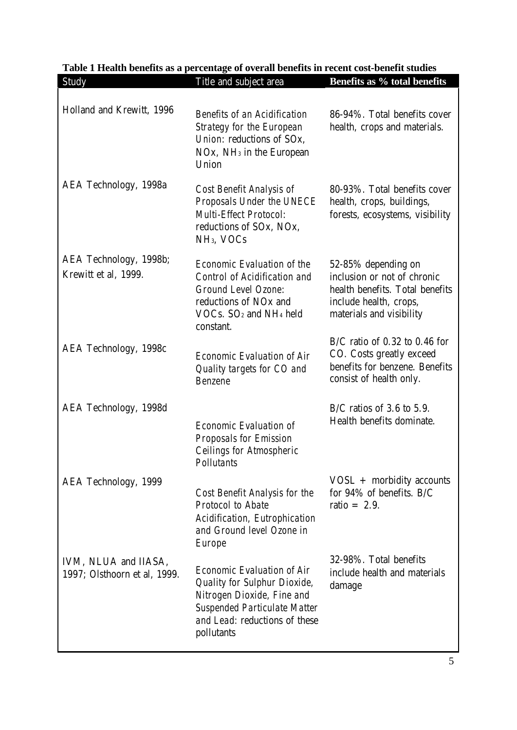| Holland and Krewitt, 1996                            | <b>Benefits of an Acidification</b><br><b>Strategy for the European</b><br>Union: reductions of SOx.<br>$NOx$ , $NH3$ in the European<br>Union                                               | 86-94%. Total benefits cover<br>health, crops and materials.                                                                                |
|------------------------------------------------------|----------------------------------------------------------------------------------------------------------------------------------------------------------------------------------------------|---------------------------------------------------------------------------------------------------------------------------------------------|
| AEA Technology, 1998a                                | Cost Benefit Analysis of<br>Proposals Under the UNECE<br><b>Multi-Effect Protocol:</b><br>reductions of SOx, NOx,<br>NH <sub>3</sub> , VOC <sub>s</sub>                                      | 80-93%. Total benefits cover<br>health, crops, buildings,<br>forests, ecosystems, visibility                                                |
| AEA Technology, 1998b;<br>Krewitt et al, 1999.       | <b>Economic Evaluation of the</b><br>Control of Acidification and<br><b>Ground Level Ozone:</b><br>reductions of NO <sub>x</sub> and<br>$VOCs$ . $SO2$ and NH <sub>4</sub> held<br>constant. | 52-85% depending on<br>inclusion or not of chronic<br>health benefits. Total benefits<br>include health, crops,<br>materials and visibility |
| AEA Technology, 1998c                                | <b>Economic Evaluation of Air</b><br>Quality targets for CO and<br><b>Benzene</b>                                                                                                            | $B/C$ ratio of 0.32 to 0.46 for<br>CO. Costs greatly exceed<br>benefits for benzene. Benefits<br>consist of health only.                    |
| AEA Technology, 1998d                                | <b>Economic Evaluation of</b><br>Proposals for Emission<br><b>Ceilings for Atmospheric</b><br><b>Pollutants</b>                                                                              | $B/C$ ratios of 3.6 to 5.9.<br>Health benefits dominate.                                                                                    |
| AEA Technology, 1999                                 | Cost Benefit Analysis for the<br><b>Protocol to Abate</b><br>Acidification, Eutrophication<br>and Ground level Ozone in<br>Europe                                                            | $VOSL +$ morbidity accounts<br>for 94% of benefits. B/C<br>ratio = $2.9$ .                                                                  |
| IVM, NLUA and IIASA,<br>1997; Olsthoorn et al, 1999. | <b>Economic Evaluation of Air</b><br>Quality for Sulphur Dioxide,<br>Nitrogen Dioxide, Fine and<br><b>Suspended Particulate Matter</b><br>and Lead: reductions of these<br>pollutants        | 32-98%. Total benefits<br>include health and materials<br>damage                                                                            |

# Table 1 Health benefits as a percentage of overall benefits in recent cost-benefit studies<br>Study Title and subject area **Benefits as % total benefit** Study Title and subject area **Benefits as % total benefits**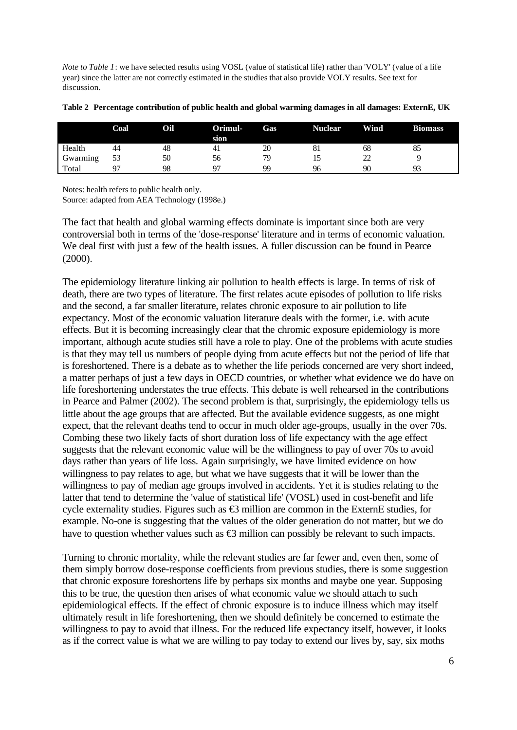*Note to Table 1*: we have selected results using VOSL (value of statistical life) rather than 'VOLY' (value of a life year) since the latter are not correctly estimated in the studies that also provide VOLY results. See text for discussion.

|          | <b>Coal</b> | Oil | Orimul-<br>sion | Gas | Nuclear | <b>Wind</b> | <b>Biomass</b> |
|----------|-------------|-----|-----------------|-----|---------|-------------|----------------|
| Health   | 44          | 48  | 4 <sub>1</sub>  | 20  | ŏΙ      | 68          | ΟJ             |
| Gwarming | 53          | 50  | 56              | 79  | IJ      | nη<br>∠∠    |                |
| Total    | 07          | 98  | 07              | QQ  | 96      | 90          | ۵              |

**Table 2 Percentage contribution of public health and global warming damages in all damages: ExternE, UK**

Notes: health refers to public health only.

Source: adapted from AEA Technology (1998e.)

The fact that health and global warming effects dominate is important since both are very controversial both in terms of the 'dose-response' literature and in terms of economic valuation. We deal first with just a few of the health issues. A fuller discussion can be found in Pearce (2000).

The epidemiology literature linking air pollution to health effects is large. In terms of risk of death, there are two types of literature. The first relates acute episodes of pollution to life risks and the second, a far smaller literature, relates chronic exposure to air pollution to life expectancy. Most of the economic valuation literature deals with the former, i.e. with acute effects. But it is becoming increasingly clear that the chromic exposure epidemiology is more important, although acute studies still have a role to play. One of the problems with acute studies is that they may tell us numbers of people dying from acute effects but not the period of life that is foreshortened. There is a debate as to whether the life periods concerned are very short indeed, a matter perhaps of just a few days in OECD countries, or whether what evidence we do have on life foreshortening understates the true effects. This debate is well rehearsed in the contributions in Pearce and Palmer (2002). The second problem is that, surprisingly, the epidemiology tells us little about the age groups that are affected. But the available evidence suggests, as one might expect, that the relevant deaths tend to occur in much older age-groups, usually in the over 70s. Combing these two likely facts of short duration loss of life expectancy with the age effect suggests that the relevant economic value will be the willingness to pay of over 70s to avoid days rather than years of life loss. Again surprisingly, we have limited evidence on how willingness to pay relates to age, but what we have suggests that it will be lower than the willingness to pay of median age groups involved in accidents. Yet it is studies relating to the latter that tend to determine the 'value of statistical life' (VOSL) used in cost-benefit and life cycle externality studies. Figures such as  $\bigoplus$  million are common in the ExternE studies, for example. No-one is suggesting that the values of the older generation do not matter, but we do have to question whether values such as  $\bigoplus$  million can possibly be relevant to such impacts.

Turning to chronic mortality, while the relevant studies are far fewer and, even then, some of them simply borrow dose-response coefficients from previous studies, there is some suggestion that chronic exposure foreshortens life by perhaps six months and maybe one year. Supposing this to be true, the question then arises of what economic value we should attach to such epidemiological effects. If the effect of chronic exposure is to induce illness which may itself ultimately result in life foreshortening, then we should definitely be concerned to estimate the willingness to pay to avoid that illness. For the reduced life expectancy itself, however, it looks as if the correct value is what we are willing to pay today to extend our lives by, say, six moths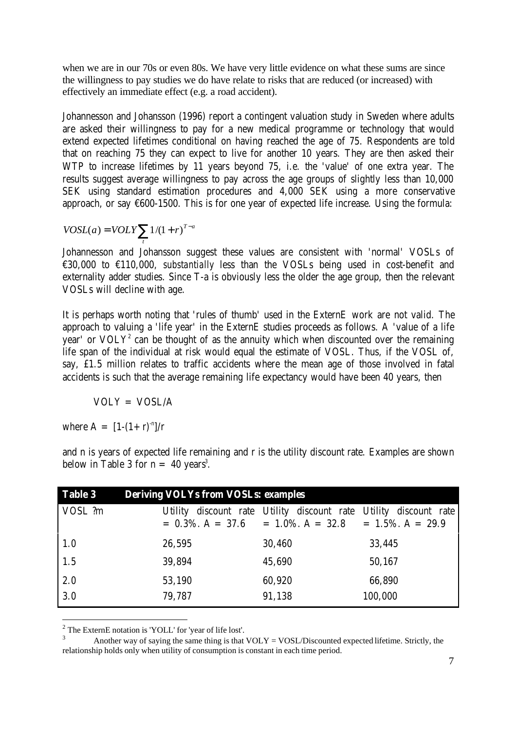when we are in our 70s or even 80s. We have very little evidence on what these sums are since the willingness to pay studies we do have relate to risks that are reduced (or increased) with effectively an immediate effect (e.g. a road accident).

Johannesson and Johansson (1996) report a contingent valuation study in Sweden where adults are asked their willingness to pay for a new medical programme or technology that would extend expected lifetimes conditional on having reached the age of 75. Respondents are told that on reaching 75 they can expect to live for another 10 years. They are then asked their WTP to increase lifetimes by 11 years beyond 75, i.e. the 'value' of one extra year. The results suggest average willingness to pay across the age groups of slightly less than 10,000 SEK using standard estimation procedures and 4,000 SEK using a more conservative approach, or say  $\epsilon$ 600-1500. This is for one year of expected life increase. Using the formula:

$$
VOSL(a) = VOLY \sum_{t} 1/(1+r)^{T-a}
$$

Johannesson and Johansson suggest these values are consistent with 'normal' VOSLs of €30,000 to €110,000, *substantially* less than the VOSLs being used in cost-benefit and externality adder studies. Since T-a is obviously less the older the age group, then the relevant VOSLs will decline with age.

It is perhaps worth noting that 'rules of thumb' used in the ExternE work are not valid. The approach to valuing a 'life year' in the ExternE studies proceeds as follows. A 'value of a life year' or  $VOLY<sup>2</sup>$  can be thought of as the annuity which when discounted over the remaining life span of the individual at risk would equal the estimate of VOSL. Thus, if the VOSL of, say, £1.5 million relates to traffic accidents where the mean age of those involved in fatal accidents is such that the average remaining life expectancy would have been 40 years, then

 $VOLY = VOSL/A$ 

where  $A = [1-(1+r)^{-n}]/r$ 

l

| <b>Table 3</b> | <b>Deriving VOLYs from VOSLs: examples</b> |                                                                                                                             |         |  |  |
|----------------|--------------------------------------------|-----------------------------------------------------------------------------------------------------------------------------|---------|--|--|
| VOSL ?m        |                                            | Utility discount rate Utility discount rate Utility discount rate<br>$= 0.3\%$ , A = 37.6 = 1.0%, A = 32.8 = 1.5%, A = 29.9 |         |  |  |
| 1.0            | 26,595                                     | 30,460                                                                                                                      | 33,445  |  |  |
| 1.5            | 39,894                                     | 45,690                                                                                                                      | 50,167  |  |  |
| 2.0            | 53,190                                     | 60,920                                                                                                                      | 66,890  |  |  |
| 3.0            | 79,787                                     | 91,138                                                                                                                      | 100,000 |  |  |

and n is years of expected life remaining and r is the utility discount rate. Examples are shown below in Table 3 for  $n = 40$  years<sup>3</sup>.

 $2^2$  The ExternE notation is 'YOLL' for 'year of life lost'.

Another way of saying the same thing is that  $VOLY = VOSL/D$  is counted expected lifetime. Strictly, the relationship holds only when utility of consumption is constant in each time period.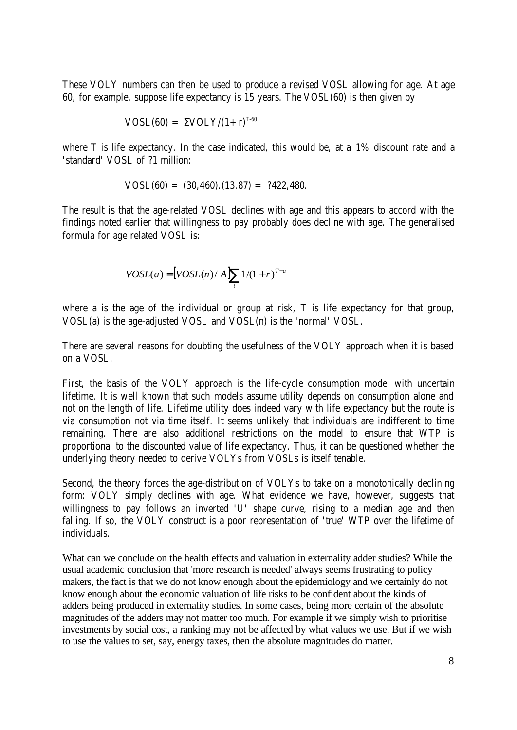These VOLY numbers can then be used to produce a revised VOSL allowing for age. At age 60, for example, suppose life expectancy is 15 years. The VOSL(60) is then given by

$$
VOSL(60) = \Sigma VOLY/(1+r)^{T-60}
$$

where T is life expectancy. In the case indicated, this would be, at a 1% discount rate and a 'standard' VOSL of ?1 million:

$$
VOSL(60) = (30,460) \cdot (13.87) = ?422,480.
$$

The result is that the age-related VOSL declines with age and this appears to accord with the findings noted earlier that willingness to pay probably does decline with age. The generalised formula for age related VOSL is:

$$
VOSL(a) = [VOSL(n)/A] \sum_{t} 1/(1+r)^{T-a}
$$

where a is the age of the individual or group at risk, T is life expectancy for that group, VOSL(a) is the age-adjusted VOSL and VOSL(n) is the 'normal' VOSL.

There are several reasons for doubting the usefulness of the VOLY approach when it is based on a VOSL.

First, the basis of the VOLY approach is the life-cycle consumption model with uncertain lifetime. It is well known that such models assume utility depends on consumption alone and not on the length of life. Lifetime utility does indeed vary with life expectancy but the route is via consumption not via time itself. It seems unlikely that individuals are indifferent to time remaining. There are also additional restrictions on the model to ensure that WTP is proportional to the discounted value of life expectancy. Thus, it can be questioned whether the underlying theory needed to derive VOLYs from VOSLs is itself tenable.

Second, the theory forces the age-distribution of VOLYs to take on a monotonically declining form: VOLY simply declines with age. What evidence we have, however, suggests that willingness to pay follows an inverted 'U' shape curve, rising to a median age and then falling. If so, the VOLY construct is a poor representation of 'true' WTP over the lifetime of individuals.

What can we conclude on the health effects and valuation in externality adder studies? While the usual academic conclusion that 'more research is needed' always seems frustrating to policy makers, the fact is that we do not know enough about the epidemiology and we certainly do not know enough about the economic valuation of life risks to be confident about the kinds of adders being produced in externality studies. In some cases, being more certain of the absolute magnitudes of the adders may not matter too much. For example if we simply wish to prioritise investments by social cost, a ranking may not be affected by what values we use. But if we wish to use the values to set, say, energy taxes, then the absolute magnitudes do matter.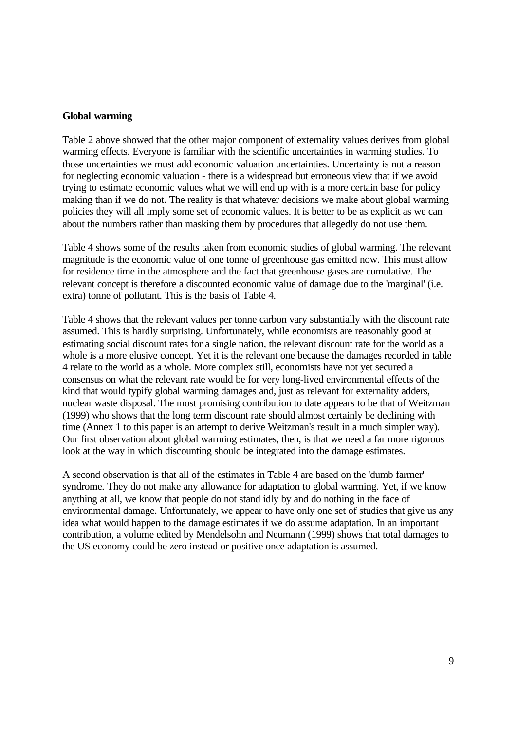#### **Global warming**

Table 2 above showed that the other major component of externality values derives from global warming effects. Everyone is familiar with the scientific uncertainties in warming studies. To those uncertainties we must add economic valuation uncertainties. Uncertainty is not a reason for neglecting economic valuation - there is a widespread but erroneous view that if we avoid trying to estimate economic values what we will end up with is a more certain base for policy making than if we do not. The reality is that whatever decisions we make about global warming policies they will all imply some set of economic values. It is better to be as explicit as we can about the numbers rather than masking them by procedures that allegedly do not use them.

Table 4 shows some of the results taken from economic studies of global warming. The relevant magnitude is the economic value of one tonne of greenhouse gas emitted now. This must allow for residence time in the atmosphere and the fact that greenhouse gases are cumulative. The relevant concept is therefore a discounted economic value of damage due to the 'marginal' (i.e. extra) tonne of pollutant. This is the basis of Table 4.

Table 4 shows that the relevant values per tonne carbon vary substantially with the discount rate assumed. This is hardly surprising. Unfortunately, while economists are reasonably good at estimating social discount rates for a single nation, the relevant discount rate for the world as a whole is a more elusive concept. Yet it is the relevant one because the damages recorded in table 4 relate to the world as a whole. More complex still, economists have not yet secured a consensus on what the relevant rate would be for very long-lived environmental effects of the kind that would typify global warming damages and, just as relevant for externality adders, nuclear waste disposal. The most promising contribution to date appears to be that of Weitzman (1999) who shows that the long term discount rate should almost certainly be declining with time (Annex 1 to this paper is an attempt to derive Weitzman's result in a much simpler way). Our first observation about global warming estimates, then, is that we need a far more rigorous look at the way in which discounting should be integrated into the damage estimates.

A second observation is that all of the estimates in Table 4 are based on the 'dumb farmer' syndrome. They do not make any allowance for adaptation to global warming. Yet, if we know anything at all, we know that people do not stand idly by and do nothing in the face of environmental damage. Unfortunately, we appear to have only one set of studies that give us any idea what would happen to the damage estimates if we do assume adaptation. In an important contribution, a volume edited by Mendelsohn and Neumann (1999) shows that total damages to the US economy could be zero instead or positive once adaptation is assumed.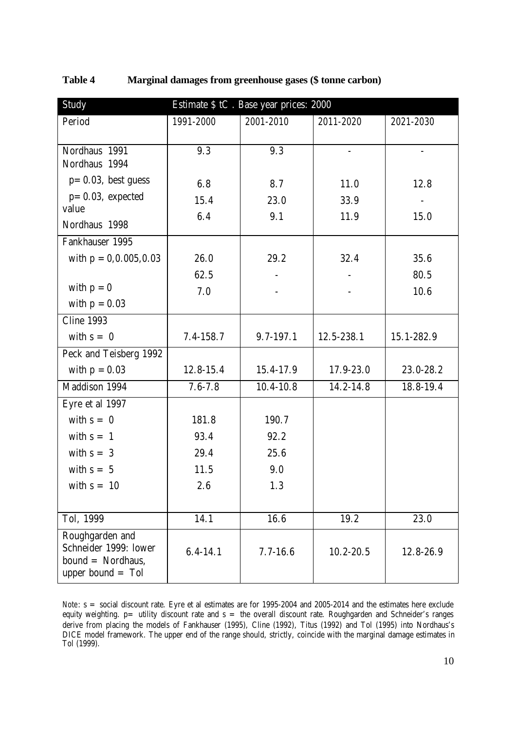| Study                                                                                  | Estimate \$ tC. Base year prices: 2000 |               |                          |                |  |
|----------------------------------------------------------------------------------------|----------------------------------------|---------------|--------------------------|----------------|--|
| Period                                                                                 | 1991-2000                              | 2001-2010     | 2011-2020                | 2021-2030      |  |
|                                                                                        |                                        |               |                          |                |  |
| Nordhaus 1991                                                                          | 9.3                                    | 9.3           | $\overline{\phantom{a}}$ | $\overline{a}$ |  |
| Nordhaus 1994                                                                          |                                        |               |                          |                |  |
| $p=0.03$ , best guess                                                                  | 6.8                                    | 8.7           | 11.0                     | 12.8           |  |
| $p=0.03$ , expected<br>value                                                           | 15.4                                   | 23.0          | 33.9                     |                |  |
|                                                                                        | 6.4                                    | 9.1           | 11.9                     | 15.0           |  |
| Nordhaus 1998                                                                          |                                        |               |                          |                |  |
| Fankhauser 1995                                                                        |                                        |               |                          |                |  |
| with $p = 0, 0.005, 0.03$                                                              | 26.0                                   | 29.2          | 32.4                     | 35.6           |  |
|                                                                                        | 62.5                                   |               |                          | 80.5           |  |
| with $p = 0$                                                                           | 7.0                                    |               |                          | 10.6           |  |
| with $p = 0.03$                                                                        |                                        |               |                          |                |  |
| <b>Cline 1993</b>                                                                      |                                        |               |                          |                |  |
| with $s = 0$                                                                           | $7.4 - 158.7$                          | 9.7-197.1     | 12.5-238.1               | 15.1-282.9     |  |
| Peck and Teisberg 1992                                                                 |                                        |               |                          |                |  |
| with $p = 0.03$                                                                        | 12.8-15.4                              | 15.4-17.9     | 17.9-23.0                | 23.0-28.2      |  |
| Maddison 1994                                                                          | $7.6 - 7.8$                            | $10.4 - 10.8$ | 14.2-14.8                | 18.8-19.4      |  |
| Eyre et al 1997                                                                        |                                        |               |                          |                |  |
| with $s = 0$                                                                           | 181.8                                  | 190.7         |                          |                |  |
| with $s = 1$                                                                           | 93.4                                   | 92.2          |                          |                |  |
| with $s = 3$                                                                           | 29.4                                   | 25.6          |                          |                |  |
| with $s = 5$                                                                           | 11.5                                   | 9.0           |                          |                |  |
| with $s = 10$                                                                          | $2.6\,$                                | 1.3           |                          |                |  |
|                                                                                        |                                        |               |                          |                |  |
| Tol, 1999                                                                              | 14.1                                   | 16.6          | 19.2                     | 23.0           |  |
| Roughgarden and<br>Schneider 1999: lower<br>$bound = Nordhaus,$<br>upper bound $=$ Tol | $6.4 - 14.1$                           | $7.7 - 16.6$  | $10.2 - 20.5$            | 12.8-26.9      |  |

**Table 4 Marginal damages from greenhouse gases (\$ tonne carbon)**

*Note*: s = social discount rate. Eyre et al estimates are for 1995-2004 and 2005-2014 and the estimates here exclude equity weighting.  $p=$  utility discount rate and  $s=$  the overall discount rate. Roughgarden and Schneider's ranges derive from placing the models of Fankhauser (1995), Cline (1992), Titus (1992) and Tol (1995) into Nordhaus's DICE model framework. The upper end of the range should, strictly, coincide with the marginal damage estimates in Tol (1999).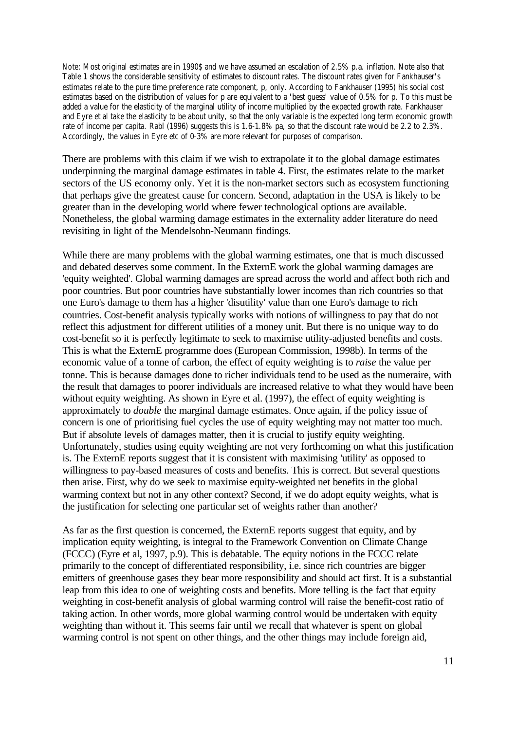*Note:* Most original estimates are in 1990\$ and we have assumed an escalation of 2.5% p.a. inflation. Note also that Table 1 shows the considerable sensitivity of estimates to discount rates. The discount rates given for Fankhauser's estimates relate to the pure time preference rate component, p, only. According to Fankhauser (1995) his social cost estimates based on the distribution of values for p are equivalent to a 'best guess' value of 0.5% for p. To this must be added a value for the elasticity of the marginal utility of income multiplied by the expected growth rate. Fankhauser and Eyre et al take the elasticity to be about unity, so that the only variable is the expected long term economic growth rate of income per capita. Rabl (1996) suggests this is 1.6-1.8% pa, so that the discount rate would be 2.2 to 2.3%. Accordingly, the values in Eyre etc of 0-3% are more relevant for purposes of comparison.

There are problems with this claim if we wish to extrapolate it to the global damage estimates underpinning the marginal damage estimates in table 4. First, the estimates relate to the market sectors of the US economy only. Yet it is the non-market sectors such as ecosystem functioning that perhaps give the greatest cause for concern. Second, adaptation in the USA is likely to be greater than in the developing world where fewer technological options are available. Nonetheless, the global warming damage estimates in the externality adder literature do need revisiting in light of the Mendelsohn-Neumann findings.

While there are many problems with the global warming estimates, one that is much discussed and debated deserves some comment. In the ExternE work the global warming damages are 'equity weighted'. Global warming damages are spread across the world and affect both rich and poor countries. But poor countries have substantially lower incomes than rich countries so that one Euro's damage to them has a higher 'disutility' value than one Euro's damage to rich countries. Cost-benefit analysis typically works with notions of willingness to pay that do not reflect this adjustment for different utilities of a money unit. But there is no unique way to do cost-benefit so it is perfectly legitimate to seek to maximise utility-adjusted benefits and costs. This is what the ExternE programme does (European Commission, 1998b). In terms of the economic value of a tonne of carbon, the effect of equity weighting is to *raise* the value per tonne. This is because damages done to richer individuals tend to be used as the numeraire, with the result that damages to poorer individuals are increased relative to what they would have been without equity weighting. As shown in Eyre et al. (1997), the effect of equity weighting is approximately to *double* the marginal damage estimates. Once again, if the policy issue of concern is one of prioritising fuel cycles the use of equity weighting may not matter too much. But if absolute levels of damages matter, then it is crucial to justify equity weighting. Unfortunately, studies using equity weighting are not very forthcoming on what this justification is. The ExternE reports suggest that it is consistent with maximising 'utility' as opposed to willingness to pay-based measures of costs and benefits. This is correct. But several questions then arise. First, why do we seek to maximise equity-weighted net benefits in the global warming context but not in any other context? Second, if we do adopt equity weights, what is the justification for selecting one particular set of weights rather than another?

As far as the first question is concerned, the ExternE reports suggest that equity, and by implication equity weighting, is integral to the Framework Convention on Climate Change (FCCC) (Eyre et al, 1997, p.9). This is debatable. The equity notions in the FCCC relate primarily to the concept of differentiated responsibility, i.e. since rich countries are bigger emitters of greenhouse gases they bear more responsibility and should act first. It is a substantial leap from this idea to one of weighting costs and benefits. More telling is the fact that equity weighting in cost-benefit analysis of global warming control will raise the benefit-cost ratio of taking action. In other words, more global warming control would be undertaken with equity weighting than without it. This seems fair until we recall that whatever is spent on global warming control is not spent on other things, and the other things may include foreign aid,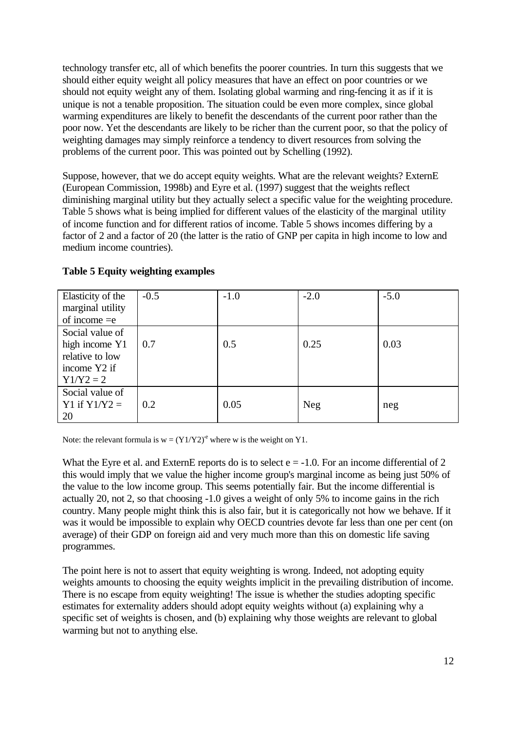technology transfer etc, all of which benefits the poorer countries. In turn this suggests that we should either equity weight all policy measures that have an effect on poor countries or we should not equity weight any of them. Isolating global warming and ring-fencing it as if it is unique is not a tenable proposition. The situation could be even more complex, since global warming expenditures are likely to benefit the descendants of the current poor rather than the poor now. Yet the descendants are likely to be richer than the current poor, so that the policy of weighting damages may simply reinforce a tendency to divert resources from solving the problems of the current poor. This was pointed out by Schelling (1992).

Suppose, however, that we do accept equity weights. What are the relevant weights? ExternE (European Commission, 1998b) and Eyre et al. (1997) suggest that the weights reflect diminishing marginal utility but they actually select a specific value for the weighting procedure. Table 5 shows what is being implied for different values of the elasticity of the marginal utility of income function and for different ratios of income. Table 5 shows incomes differing by a factor of 2 and a factor of 20 (the latter is the ratio of GNP per capita in high income to low and medium income countries).

| Elasticity of the<br>marginal utility | $-0.5$ | $-1.0$ | $-2.0$     | $-5.0$ |
|---------------------------------------|--------|--------|------------|--------|
| of income $=$ e                       |        |        |            |        |
| Social value of                       |        |        |            |        |
| high income Y1                        | 0.7    | 0.5    | 0.25       | 0.03   |
| relative to low                       |        |        |            |        |
| income Y2 if                          |        |        |            |        |
| $Y1/Y2 = 2$                           |        |        |            |        |
| Social value of                       |        |        |            |        |
| Y1 if $Y1/Y2 =$                       | 0.2    | 0.05   | <b>Neg</b> | neg    |
| 20                                    |        |        |            |        |

### **Table 5 Equity weighting examples**

Note: the relevant formula is  $w = (Y1/Y2)^e$  where w is the weight on Y1.

What the Eyre et al. and ExternE reports do is to select  $e = -1.0$ . For an income differential of 2 this would imply that we value the higher income group's marginal income as being just 50% of the value to the low income group. This seems potentially fair. But the income differential is actually 20, not 2, so that choosing -1.0 gives a weight of only 5% to income gains in the rich country. Many people might think this is also fair, but it is categorically not how we behave. If it was it would be impossible to explain why OECD countries devote far less than one per cent (on average) of their GDP on foreign aid and very much more than this on domestic life saving programmes.

The point here is not to assert that equity weighting is wrong. Indeed, not adopting equity weights amounts to choosing the equity weights implicit in the prevailing distribution of income. There is no escape from equity weighting! The issue is whether the studies adopting specific estimates for externality adders should adopt equity weights without (a) explaining why a specific set of weights is chosen, and (b) explaining why those weights are relevant to global warming but not to anything else.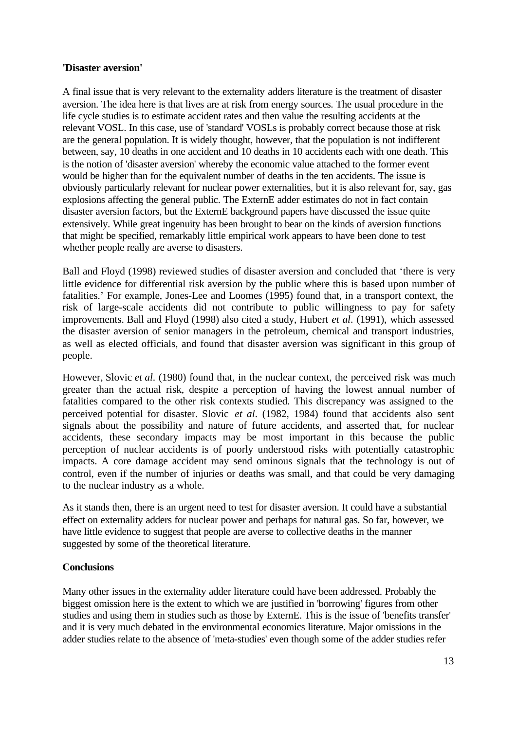#### **'Disaster aversion'**

A final issue that is very relevant to the externality adders literature is the treatment of disaster aversion. The idea here is that lives are at risk from energy sources. The usual procedure in the life cycle studies is to estimate accident rates and then value the resulting accidents at the relevant VOSL. In this case, use of 'standard' VOSLs is probably correct because those at risk are the general population. It is widely thought, however, that the population is not indifferent between, say, 10 deaths in one accident and 10 deaths in 10 accidents each with one death. This is the notion of 'disaster aversion' whereby the economic value attached to the former event would be higher than for the equivalent number of deaths in the ten accidents. The issue is obviously particularly relevant for nuclear power externalities, but it is also relevant for, say, gas explosions affecting the general public. The ExternE adder estimates do not in fact contain disaster aversion factors, but the ExternE background papers have discussed the issue quite extensively. While great ingenuity has been brought to bear on the kinds of aversion functions that might be specified, remarkably little empirical work appears to have been done to test whether people really are averse to disasters.

Ball and Floyd (1998) reviewed studies of disaster aversion and concluded that 'there is very little evidence for differential risk aversion by the public where this is based upon number of fatalities.' For example, Jones-Lee and Loomes (1995) found that, in a transport context, the risk of large-scale accidents did not contribute to public willingness to pay for safety improvements. Ball and Floyd (1998) also cited a study, Hubert *et al*. (1991), which assessed the disaster aversion of senior managers in the petroleum, chemical and transport industries, as well as elected officials, and found that disaster aversion was significant in this group of people.

However, Slovic *et al*. (1980) found that, in the nuclear context, the perceived risk was much greater than the actual risk, despite a perception of having the lowest annual number of fatalities compared to the other risk contexts studied. This discrepancy was assigned to the perceived potential for disaster. Slovic *et al*. (1982, 1984) found that accidents also sent signals about the possibility and nature of future accidents, and asserted that, for nuclear accidents, these secondary impacts may be most important in this because the public perception of nuclear accidents is of poorly understood risks with potentially catastrophic impacts. A core damage accident may send ominous signals that the technology is out of control, even if the number of injuries or deaths was small, and that could be very damaging to the nuclear industry as a whole.

As it stands then, there is an urgent need to test for disaster aversion. It could have a substantial effect on externality adders for nuclear power and perhaps for natural gas. So far, however, we have little evidence to suggest that people are averse to collective deaths in the manner suggested by some of the theoretical literature.

### **Conclusions**

Many other issues in the externality adder literature could have been addressed. Probably the biggest omission here is the extent to which we are justified in 'borrowing' figures from other studies and using them in studies such as those by ExternE. This is the issue of 'benefits transfer' and it is very much debated in the environmental economics literature. Major omissions in the adder studies relate to the absence of 'meta-studies' even though some of the adder studies refer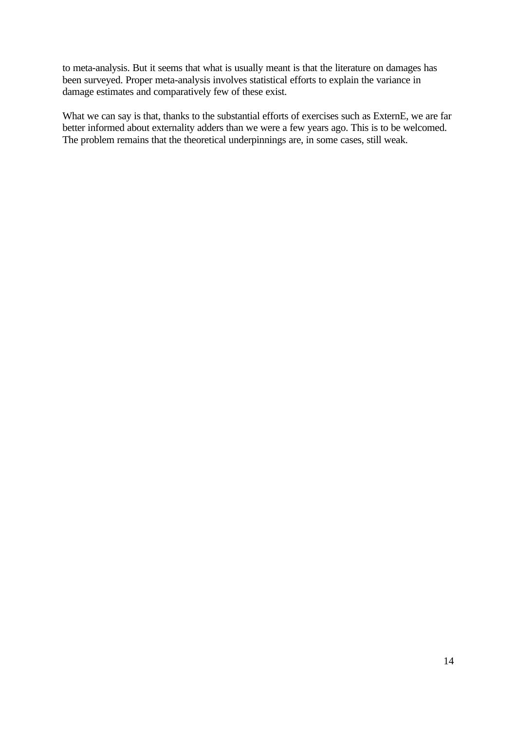to meta-analysis. But it seems that what is usually meant is that the literature on damages has been surveyed. Proper meta-analysis involves statistical efforts to explain the variance in damage estimates and comparatively few of these exist.

What we can say is that, thanks to the substantial efforts of exercises such as ExternE, we are far better informed about externality adders than we were a few years ago. This is to be welcomed. The problem remains that the theoretical underpinnings are, in some cases, still weak.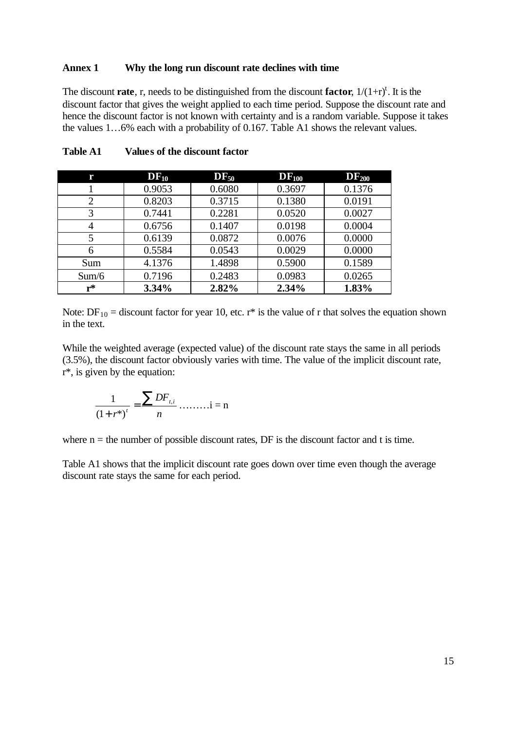#### **Annex 1 Why the long run discount rate declines with time**

The discount **rate**, r, needs to be distinguished from the discount **factor**,  $1/(1+r)^t$ . It is the discount factor that gives the weight applied to each time period. Suppose the discount rate and hence the discount factor is not known with certainty and is a random variable. Suppose it takes the values 1…6% each with a probability of 0.167. Table A1 shows the relevant values.

|                | $DF_{10}$ | $DF_{50}$ | $DF_{100}$ | $DF_{200}$ |
|----------------|-----------|-----------|------------|------------|
|                | 0.9053    | 0.6080    | 0.3697     | 0.1376     |
| $\overline{2}$ | 0.8203    | 0.3715    | 0.1380     | 0.0191     |
| 3              | 0.7441    | 0.2281    | 0.0520     | 0.0027     |
|                | 0.6756    | 0.1407    | 0.0198     | 0.0004     |
| 5              | 0.6139    | 0.0872    | 0.0076     | 0.0000     |
| 6              | 0.5584    | 0.0543    | 0.0029     | 0.0000     |
| Sum            | 4.1376    | 1.4898    | 0.5900     | 0.1589     |
| Sum/6          | 0.7196    | 0.2483    | 0.0983     | 0.0265     |
| r*             | 3.34%     | 2.82%     | 2.34%      | 1.83%      |

**Table A1 Values of the discount factor**

Note:  $DF_{10}$  = discount factor for year 10, etc. r<sup>\*</sup> is the value of r that solves the equation shown in the text.

While the weighted average (expected value) of the discount rate stays the same in all periods (3.5%), the discount factor obviously varies with time. The value of the implicit discount rate, r\*, is given by the equation:

$$
\frac{1}{(1+r^{*})^{t}} = \frac{\sum DF_{i,i}}{n} \dots \dots \dots i = n
$$

where  $n =$  the number of possible discount rates, DF is the discount factor and t is time.

Table A1 shows that the implicit discount rate goes down over time even though the average discount rate stays the same for each period.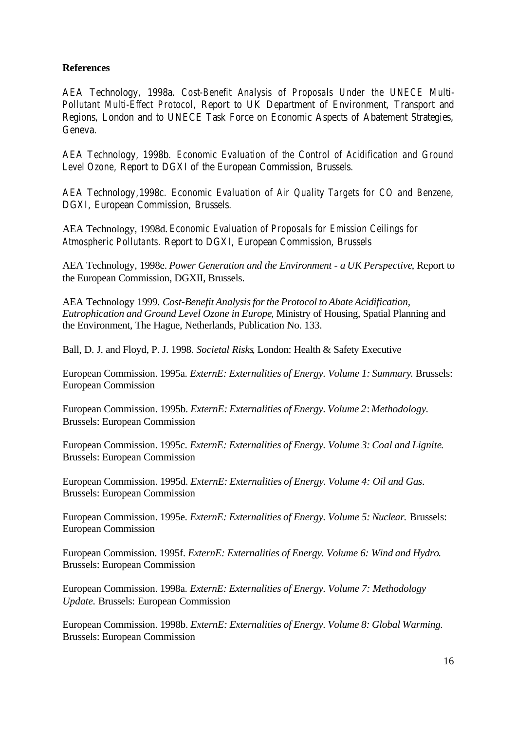## **References**

AEA Technology, 1998a. *Cost-Benefit Analysis of Proposals Under the UNECE Multi-Pollutant Multi-Effect Protocol*, Report to UK Department of Environment, Transport and Regions, London and to UNECE Task Force on Economic Aspects of Abatement Strategies, Geneva.

AEA Technology, 1998b. *Economic Evaluation of the Control of Acidification and Ground Level Ozone*, Report to DGXI of the European Commission, Brussels.

AEA Technology,1998c. *Economic Evaluation of Air Quality Targets for CO and Benzene*, DGXI, European Commission, Brussels.

AEA Technology, 1998d. *Economic Evaluation of Proposals for Emission Ceilings for Atmospheric Pollutants*. Report to DGXI, European Commission, Brussels

AEA Technology, 1998e. *Power Generation and the Environment - a UK Perspective*, Report to the European Commission, DGXII, Brussels.

AEA Technology 1999. *Cost-Benefit Analysis for the Protocol to Abate Acidification, Eutrophication and Ground Level Ozone in Europe*, Ministry of Housing, Spatial Planning and the Environment, The Hague, Netherlands, Publication No. 133.

Ball, D. J. and Floyd, P. J. 1998. *Societal Risks*, London: Health & Safety Executive

European Commission. 1995a. *ExternE: Externalities of Energy. Volume 1: Summary*. Brussels: European Commission

European Commission. 1995b. *ExternE: Externalities of Energy. Volume 2*: *Methodology.* Brussels: European Commission

European Commission. 1995c. *ExternE: Externalities of Energy. Volume 3: Coal and Lignite*. Brussels: European Commission

European Commission. 1995d. *ExternE: Externalities of Energy. Volume 4: Oil and Gas*. Brussels: European Commission

European Commission. 1995e. *ExternE: Externalities of Energy. Volume 5: Nuclear.* Brussels: European Commission

European Commission. 1995f. *ExternE: Externalities of Energy. Volume 6: Wind and Hydro*. Brussels: European Commission

European Commission. 1998a. *ExternE: Externalities of Energy. Volume 7: Methodology Update.* Brussels: European Commission

European Commission. 1998b. *ExternE: Externalities of Energy. Volume 8: Global Warming.* Brussels: European Commission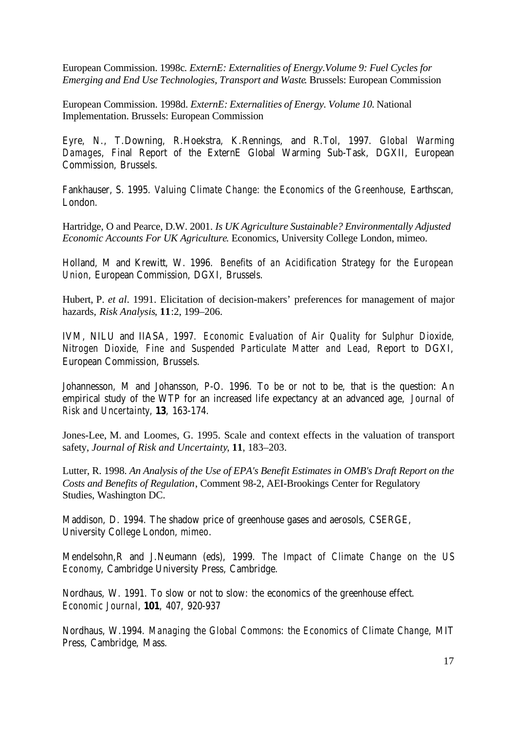European Commission. 1998c*. ExternE: Externalities of Energy.Volume 9: Fuel Cycles for Emerging and End Use Technologies, Transport and Waste*. Brussels: European Commission

European Commission. 1998d. *ExternE: Externalities of Energy. Volume 10.* National Implementation. Brussels: European Commission

Eyre, N., T.Downing, R.Hoekstra, K.Rennings, and R.Tol, 1997. *Global Warming Damages*, Final Report of the ExternE Global Warming Sub-Task, DGXII, European Commission, Brussels.

Fankhauser, S. 1995. *Valuing Climate Change: the Economics of the Greenhouse*, Earthscan, London.

Hartridge, O and Pearce, D.W. 2001. *Is UK Agriculture Sustainable? Environmentally Adjusted Economic Accounts For UK Agriculture*. Economics, University College London, mimeo.

Holland, M and Krewitt, W. 1996. *Benefits of an Acidification Strategy for the European Union*, European Commission, DGXI, Brussels.

Hubert, P. *et al*. 1991. Elicitation of decision-makers' preferences for management of major hazards, *Risk Analysis*, **11**:2, 199–206.

IVM, NILU and IIASA, 1997. *Economic Evaluation of Air Quality for Sulphur Dioxide, Nitrogen Dioxide, Fine and Suspended Particulate Matter and Lead*, Report to DGXI, European Commission, Brussels.

Johannesson, M and Johansson, P-O. 1996. To be or not to be, that is the question: An empirical study of the WTP for an increased life expectancy at an advanced age, *Journal of Risk and Uncertainty*, **13**, 163-174.

Jones-Lee, M. and Loomes, G. 1995. Scale and context effects in the valuation of transport safety, *Journal of Risk and Uncertainty*, **11**, 183–203.

Lutter, R. 1998. *An Analysis of the Use of EPA's Benefit Estimates in OMB's Draft Report on the Costs and Benefits of Regulation*, Comment 98-2, AEI-Brookings Center for Regulatory Studies, Washington DC.

Maddison, D. 1994. The shadow price of greenhouse gases and aerosols, CSERGE, University College London, *mimeo*.

Mendelsohn,R and J.Neumann (eds), 1999. *The Impact of Climate Change on the US Economy*, Cambridge University Press, Cambridge.

Nordhaus, W. 1991. To slow or not to slow: the economics of the greenhouse effect. *Economic Journal*, **101**, 407, 920-937

Nordhaus, W.1994. *Managing the Global Commons: the Economics of Climate Change*, MIT Press, Cambridge, Mass.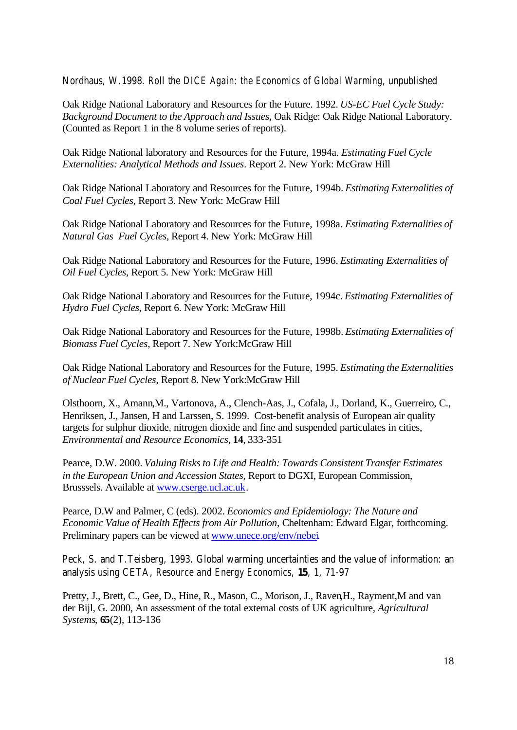Nordhaus, W.1998. *Roll the DICE Again: the Economics of Global Warming*, unpublished

Oak Ridge National Laboratory and Resources for the Future. 1992. *US-EC Fuel Cycle Study: Background Document to the Approach and Issues*, Oak Ridge: Oak Ridge National Laboratory. (Counted as Report 1 in the 8 volume series of reports).

Oak Ridge National laboratory and Resources for the Future, 1994a. *Estimating Fuel Cycle Externalities: Analytical Methods and Issues*. Report 2. New York: McGraw Hill

Oak Ridge National Laboratory and Resources for the Future, 1994b. *Estimating Externalities of Coal Fuel Cycles*, Report 3. New York: McGraw Hill

Oak Ridge National Laboratory and Resources for the Future, 1998a. *Estimating Externalities of Natural Gas Fuel Cycles*, Report 4. New York: McGraw Hill

Oak Ridge National Laboratory and Resources for the Future, 1996. *Estimating Externalities of Oil Fuel Cycles*, Report 5. New York: McGraw Hill

Oak Ridge National Laboratory and Resources for the Future, 1994c. *Estimating Externalities of Hydro Fuel Cycles*, Report 6. New York: McGraw Hill

Oak Ridge National Laboratory and Resources for the Future, 1998b. *Estimating Externalities of Biomass Fuel Cycles*, Report 7. New York:McGraw Hill

Oak Ridge National Laboratory and Resources for the Future, 1995. *Estimating the Externalities of Nuclear Fuel Cycles*, Report 8. New York:McGraw Hill

Olsthoorn, X., Amann,M., Vartonova, A., Clench-Aas, J., Cofala, J., Dorland, K., Guerreiro, C., Henriksen, J., Jansen, H and Larssen, S. 1999. Cost-benefit analysis of European air quality targets for sulphur dioxide, nitrogen dioxide and fine and suspended particulates in cities, *Environmental and Resource Economics*, **14**, 333-351

Pearce, D.W. 2000. *Valuing Risks to Life and Health: Towards Consistent Transfer Estimates in the European Union and Accession States*, Report to DGXI, European Commission, Brusssels. Available at www.cserge.ucl.ac.uk.

Pearce, D.W and Palmer, C (eds). 2002. *Economics and Epidemiology: The Nature and Economic Value of Health Effects from Air Pollution*, Cheltenham: Edward Elgar, forthcoming. Preliminary papers can be viewed at www.unece.org/env/nebei.

Peck, S. and T.Teisberg, 1993. Global warming uncertainties and the value of information: an analysis using CETA, *Resource and Energy Economics*, **15**, 1, 71-97

Pretty, J., Brett, C., Gee, D., Hine, R., Mason, C., Morison, J., Raven, H., Rayment, M and van der Bijl, G. 2000, An assessment of the total external costs of UK agriculture, *Agricultural Systems*, **65**(2), 113-136